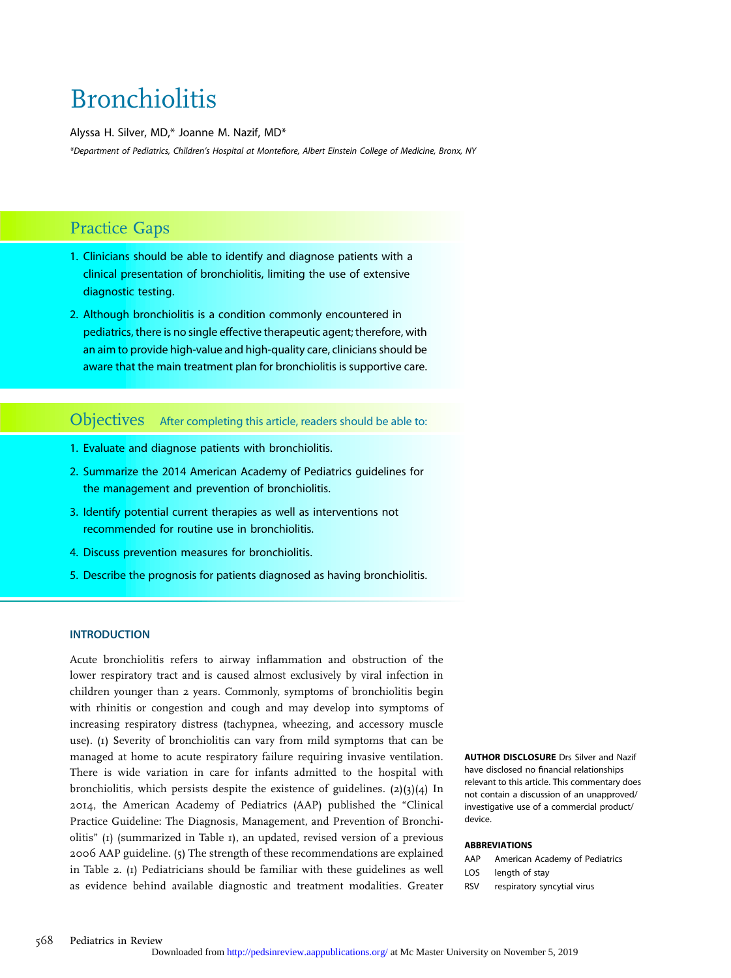# **Bronchiolitis**

Alyssa H. Silver, MD,\* Joanne M. Nazif, MD\*

\*Department of Pediatrics, Children's Hospital at Montefiore, Albert Einstein College of Medicine, Bronx, NY

# Practice Gaps

- 1. Clinicians should be able to identify and diagnose patients with a clinical presentation of bronchiolitis, limiting the use of extensive diagnostic testing.
- 2. Although bronchiolitis is a condition commonly encountered in pediatrics, there is no single effective therapeutic agent; therefore, with an aim to provide high-value and high-quality care, clinicians should be aware that the main treatment plan for bronchiolitis is supportive care.

# Objectives After completing this article, readers should be able to:

- 1. Evaluate and diagnose patients with bronchiolitis.
- 2. Summarize the 2014 American Academy of Pediatrics guidelines for the management and prevention of bronchiolitis.
- 3. Identify potential current therapies as well as interventions not recommended for routine use in bronchiolitis.
- 4. Discuss prevention measures for bronchiolitis.
- 5. Describe the prognosis for patients diagnosed as having bronchiolitis.

#### **INTRODUCTION**

Acute bronchiolitis refers to airway inflammation and obstruction of the lower respiratory tract and is caused almost exclusively by viral infection in children younger than 2 years. Commonly, symptoms of bronchiolitis begin with rhinitis or congestion and cough and may develop into symptoms of increasing respiratory distress (tachypnea, wheezing, and accessory muscle use). (1) Severity of bronchiolitis can vary from mild symptoms that can be managed at home to acute respiratory failure requiring invasive ventilation. There is wide variation in care for infants admitted to the hospital with bronchiolitis, which persists despite the existence of guidelines. (2)(3)(4) In 2014, the American Academy of Pediatrics (AAP) published the "Clinical Practice Guideline: The Diagnosis, Management, and Prevention of Bronchiolitis" (1) (summarized in Table 1), an updated, revised version of a previous 2006 AAP guideline. (5) The strength of these recommendations are explained in Table 2. (1) Pediatricians should be familiar with these guidelines as well as evidence behind available diagnostic and treatment modalities. Greater

AUTHOR DISCLOSURE Drs Silver and Nazif have disclosed no financial relationships relevant to this article. This commentary does not contain a discussion of an unapproved/ investigative use of a commercial product/ device.

#### ABBREVIATIONS

- AAP American Academy of Pediatrics
- LOS length of stay
- RSV respiratory syncytial virus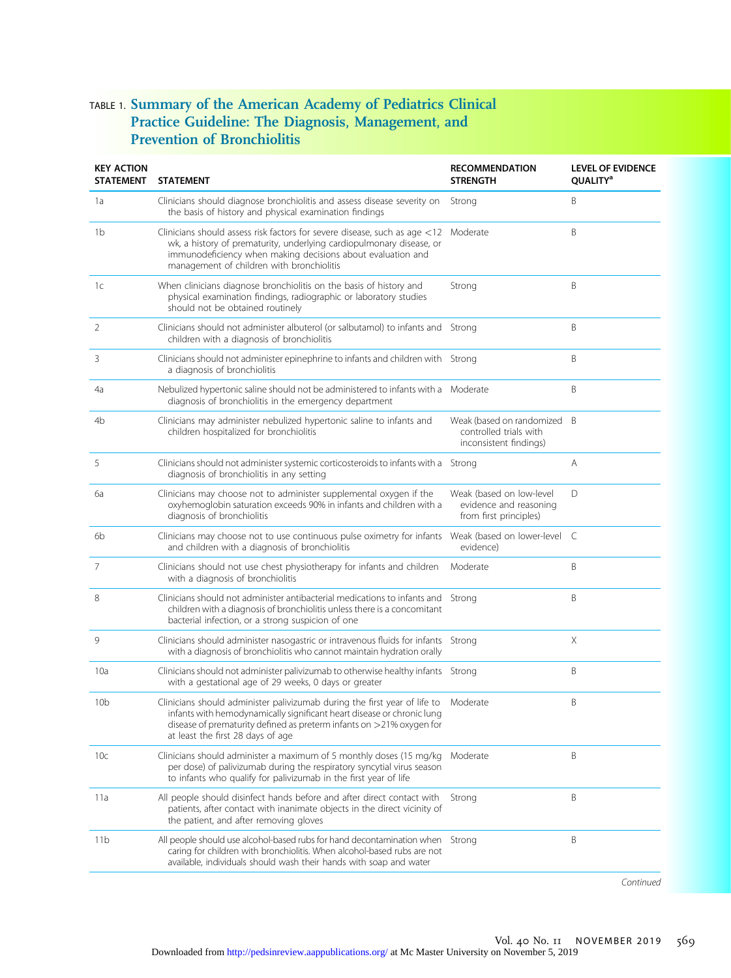# TABLE 1. Summary of the American Academy of Pediatrics Clinical Practice Guideline: The Diagnosis, Management, and Prevention of Bronchiolitis

| <b>KEY ACTION</b><br><b>STATEMENT</b> | <b>STATEMENT</b>                                                                                                                                                                                                                                                    | <b>RECOMMENDATION</b><br><b>STRENGTH</b>                                      | <b>LEVEL OF EVIDENCE</b><br><b>QUALITY<sup>a</sup></b> |
|---------------------------------------|---------------------------------------------------------------------------------------------------------------------------------------------------------------------------------------------------------------------------------------------------------------------|-------------------------------------------------------------------------------|--------------------------------------------------------|
| 1a                                    | Clinicians should diagnose bronchiolitis and assess disease severity on<br>the basis of history and physical examination findings                                                                                                                                   | Strong                                                                        | Β                                                      |
| 1b                                    | Clinicians should assess risk factors for severe disease, such as age $<$ 12<br>wk, a history of prematurity, underlying cardiopulmonary disease, or<br>immunodeficiency when making decisions about evaluation and<br>management of children with bronchiolitis    | Moderate                                                                      | Β                                                      |
| 1 <sup>c</sup>                        | When clinicians diagnose bronchiolitis on the basis of history and<br>physical examination findings, radiographic or laboratory studies<br>should not be obtained routinely                                                                                         | Strong                                                                        | B                                                      |
| 2                                     | Clinicians should not administer albuterol (or salbutamol) to infants and Strong<br>children with a diagnosis of bronchiolitis                                                                                                                                      |                                                                               | B                                                      |
| 3                                     | Clinicians should not administer epinephrine to infants and children with Strong<br>a diagnosis of bronchiolitis                                                                                                                                                    |                                                                               | B                                                      |
| 4a                                    | Nebulized hypertonic saline should not be administered to infants with a Moderate<br>diagnosis of bronchiolitis in the emergency department                                                                                                                         |                                                                               | Β                                                      |
| 4b                                    | Clinicians may administer nebulized hypertonic saline to infants and<br>children hospitalized for bronchiolitis                                                                                                                                                     | Weak (based on randomized<br>controlled trials with<br>inconsistent findings) | B                                                      |
| 5                                     | Clinicians should not administer systemic corticosteroids to infants with a Strong<br>diagnosis of bronchiolitis in any setting                                                                                                                                     |                                                                               | Α                                                      |
| 6a                                    | Clinicians may choose not to administer supplemental oxygen if the<br>oxyhemoglobin saturation exceeds 90% in infants and children with a<br>diagnosis of bronchiolitis                                                                                             | Weak (based on low-level<br>evidence and reasoning<br>from first principles)  | D                                                      |
| 6b                                    | Clinicians may choose not to use continuous pulse oximetry for infants<br>and children with a diagnosis of bronchiolitis                                                                                                                                            | Weak (based on lower-level C<br>evidence)                                     |                                                        |
| 7                                     | Clinicians should not use chest physiotherapy for infants and children<br>with a diagnosis of bronchiolitis                                                                                                                                                         | Moderate                                                                      | B                                                      |
| 8                                     | Clinicians should not administer antibacterial medications to infants and<br>children with a diagnosis of bronchiolitis unless there is a concomitant<br>bacterial infection, or a strong suspicion of one                                                          | Strong                                                                        | B                                                      |
| 9                                     | Clinicians should administer nasogastric or intravenous fluids for infants<br>with a diagnosis of bronchiolitis who cannot maintain hydration orally                                                                                                                | Strong                                                                        | Χ                                                      |
| 10a                                   | Clinicians should not administer palivizumab to otherwise healthy infants Strong<br>with a gestational age of 29 weeks, 0 days or greater                                                                                                                           |                                                                               | B                                                      |
| 10b                                   | Clinicians should administer palivizumab during the first year of life to<br>infants with hemodynamically significant heart disease or chronic lung<br>disease of prematurity defined as preterm infants on $>$ 21% oxygen for<br>at least the first 28 days of age | Moderate                                                                      | B                                                      |
| 10c                                   | Clinicians should administer a maximum of 5 monthly doses (15 mg/kg<br>per dose) of palivizumab during the respiratory syncytial virus season<br>to infants who qualify for palivizumab in the first year of life                                                   | Moderate                                                                      | B                                                      |
| 11a                                   | All people should disinfect hands before and after direct contact with<br>patients, after contact with inanimate objects in the direct vicinity of<br>the patient, and after removing gloves                                                                        | Strong                                                                        | B                                                      |
| 11b                                   | All people should use alcohol-based rubs for hand decontamination when<br>caring for children with bronchiolitis. When alcohol-based rubs are not<br>available, individuals should wash their hands with soap and water                                             | Strong                                                                        | Β                                                      |

Continued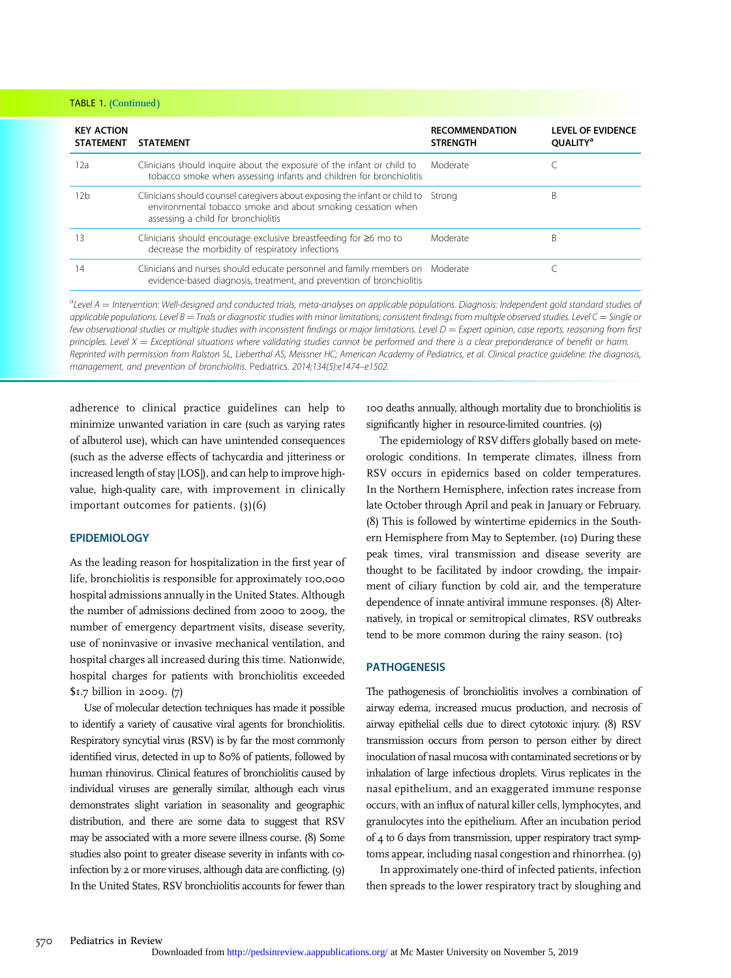#### TABLE 1. (Continued)

| <b>KEY ACTION</b><br><b>STATEMENT</b> | <b>STATEMENT</b>                                                                                                                                                                         | <b>RECOMMENDATION</b><br><b>STRENGTH</b> | <b>LEVEL OF EVIDENCE</b><br><b>OUALITY</b> <sup>a</sup> |
|---------------------------------------|------------------------------------------------------------------------------------------------------------------------------------------------------------------------------------------|------------------------------------------|---------------------------------------------------------|
| 12a                                   | Clinicians should inquire about the exposure of the infant or child to<br>tobacco smoke when assessing infants and children for bronchiolitis                                            | Moderate                                 |                                                         |
| 12b                                   | Clinicians should counsel caregivers about exposing the infant or child to Strong<br>environmental tobacco smoke and about smoking cessation when<br>assessing a child for bronchiolitis |                                          | B                                                       |
| ا 3                                   | Clinicians should encourage exclusive breastfeeding for $\geq 6$ mo to<br>decrease the morbidity of respiratory infections                                                               | Moderate                                 | R                                                       |
| 14                                    | Clinicians and nurses should educate personnel and family members on Moderate<br>evidence-based diagnosis, treatment, and prevention of bronchiolitis                                    |                                          |                                                         |

 $a$ Level A  $=$  Intervention: Well-designed and conducted trials, meta-analyses on applicable populations. Diagnosis: Independent gold standard studies of applicable populations. Level  $B =$  Trials or diagnostic studies with minor limitations; consistent findings from multiple observed studies. Level  $C =$  Single or few observational studies or multiple studies with inconsistent findings or major limitations. Level  $D =$  Expert opinion, case reports, reasoning from first principles. Level  $X =$  Exceptional situations where validating studies cannot be performed and there is a clear preponderance of benefit or harm. Reprinted with permission from Ralston SL, Lieberthal AS, Meissner HC; American Academy of Pediatrics, et al. Clinical practice guideline: the diagnosis, management, and prevention of bronchiolitis. Pediatrics. 2014;134(5):e1474–e1502.

adherence to clinical practice guidelines can help to minimize unwanted variation in care (such as varying rates of albuterol use), which can have unintended consequences (such as the adverse effects of tachycardia and jitteriness or increased length of stay [LOS]), and can help to improve highvalue, high-quality care, with improvement in clinically important outcomes for patients. (3)(6)

#### **EPIDEMIOLOGY**

As the leading reason for hospitalization in the first year of life, bronchiolitis is responsible for approximately 100,000 hospital admissions annually in the United States. Although the number of admissions declined from 2000 to 2009, the number of emergency department visits, disease severity, use of noninvasive or invasive mechanical ventilation, and hospital charges all increased during this time. Nationwide, hospital charges for patients with bronchiolitis exceeded \$1.7 billion in 2009. (7)

Use of molecular detection techniques has made it possible to identify a variety of causative viral agents for bronchiolitis. Respiratory syncytial virus (RSV) is by far the most commonly identified virus, detected in up to 80% of patients, followed by human rhinovirus. Clinical features of bronchiolitis caused by individual viruses are generally similar, although each virus demonstrates slight variation in seasonality and geographic distribution, and there are some data to suggest that RSV may be associated with a more severe illness course. (8) Some studies also point to greater disease severity in infants with coinfection by 2 or more viruses, although data are conflicting. (9) In the United States, RSV bronchiolitis accounts for fewer than 100 deaths annually, although mortality due to bronchiolitis is significantly higher in resource-limited countries. (9)

The epidemiology of RSV differs globally based on meteorologic conditions. In temperate climates, illness from RSV occurs in epidemics based on colder temperatures. In the Northern Hemisphere, infection rates increase from late October through April and peak in January or February. (8) This is followed by wintertime epidemics in the Southern Hemisphere from May to September. (10) During these peak times, viral transmission and disease severity are thought to be facilitated by indoor crowding, the impairment of ciliary function by cold air, and the temperature dependence of innate antiviral immune responses. (8) Alternatively, in tropical or semitropical climates, RSV outbreaks tend to be more common during the rainy season. (10)

#### PATHOGENESIS

The pathogenesis of bronchiolitis involves a combination of airway edema, increased mucus production, and necrosis of airway epithelial cells due to direct cytotoxic injury. (8) RSV transmission occurs from person to person either by direct inoculation of nasal mucosa with contaminated secretions or by inhalation of large infectious droplets. Virus replicates in the nasal epithelium, and an exaggerated immune response occurs, with an influx of natural killer cells, lymphocytes, and granulocytes into the epithelium. After an incubation period of 4 to 6 days from transmission, upper respiratory tract symptoms appear, including nasal congestion and rhinorrhea. (9)

In approximately one-third of infected patients, infection then spreads to the lower respiratory tract by sloughing and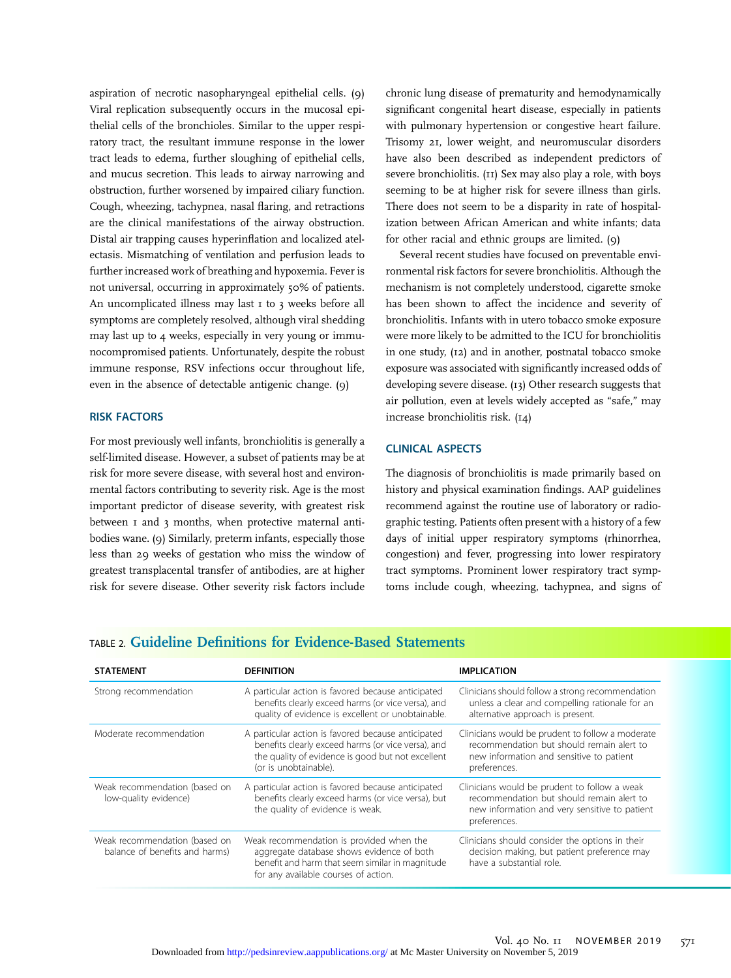aspiration of necrotic nasopharyngeal epithelial cells. (9) Viral replication subsequently occurs in the mucosal epithelial cells of the bronchioles. Similar to the upper respiratory tract, the resultant immune response in the lower tract leads to edema, further sloughing of epithelial cells, and mucus secretion. This leads to airway narrowing and obstruction, further worsened by impaired ciliary function. Cough, wheezing, tachypnea, nasal flaring, and retractions are the clinical manifestations of the airway obstruction. Distal air trapping causes hyperinflation and localized atelectasis. Mismatching of ventilation and perfusion leads to further increased work of breathing and hypoxemia. Fever is not universal, occurring in approximately 50% of patients. An uncomplicated illness may last I to 3 weeks before all symptoms are completely resolved, although viral shedding may last up to 4 weeks, especially in very young or immunocompromised patients. Unfortunately, despite the robust immune response, RSV infections occur throughout life, even in the absence of detectable antigenic change. (9)

#### RISK FACTORS

For most previously well infants, bronchiolitis is generally a self-limited disease. However, a subset of patients may be at risk for more severe disease, with several host and environmental factors contributing to severity risk. Age is the most important predictor of disease severity, with greatest risk between 1 and 3 months, when protective maternal antibodies wane. (9) Similarly, preterm infants, especially those less than 29 weeks of gestation who miss the window of greatest transplacental transfer of antibodies, are at higher risk for severe disease. Other severity risk factors include

chronic lung disease of prematurity and hemodynamically significant congenital heart disease, especially in patients with pulmonary hypertension or congestive heart failure. Trisomy 21, lower weight, and neuromuscular disorders have also been described as independent predictors of severe bronchiolitis. (11) Sex may also play a role, with boys seeming to be at higher risk for severe illness than girls. There does not seem to be a disparity in rate of hospitalization between African American and white infants; data for other racial and ethnic groups are limited. (9)

Several recent studies have focused on preventable environmental risk factors for severe bronchiolitis. Although the mechanism is not completely understood, cigarette smoke has been shown to affect the incidence and severity of bronchiolitis. Infants with in utero tobacco smoke exposure were more likely to be admitted to the ICU for bronchiolitis in one study, (12) and in another, postnatal tobacco smoke exposure was associated with significantly increased odds of developing severe disease. (13) Other research suggests that air pollution, even at levels widely accepted as "safe," may increase bronchiolitis risk. (14)

#### CLINICAL ASPECTS

The diagnosis of bronchiolitis is made primarily based on history and physical examination findings. AAP guidelines recommend against the routine use of laboratory or radiographic testing. Patients often present with a history of a few days of initial upper respiratory symptoms (rhinorrhea, congestion) and fever, progressing into lower respiratory tract symptoms. Prominent lower respiratory tract symptoms include cough, wheezing, tachypnea, and signs of

## TABLE 2. Guideline Definitions for Evidence-Based Statements

| <b>STATEMENT</b>                                                | <b>DEFINITION</b>                                                                                                                                                                      | <b>IMPLICATION</b>                                                                                                                                         |
|-----------------------------------------------------------------|----------------------------------------------------------------------------------------------------------------------------------------------------------------------------------------|------------------------------------------------------------------------------------------------------------------------------------------------------------|
| Strong recommendation                                           | A particular action is favored because anticipated<br>benefits clearly exceed harms (or vice versa), and<br>quality of evidence is excellent or unobtainable.                          | Clinicians should follow a strong recommendation<br>unless a clear and compelling rationale for an<br>alternative approach is present.                     |
| Moderate recommendation                                         | A particular action is favored because anticipated<br>benefits clearly exceed harms (or vice versa), and<br>the quality of evidence is good but not excellent<br>(or is unobtainable). | Clinicians would be prudent to follow a moderate<br>recommendation but should remain alert to<br>new information and sensitive to patient<br>preferences.  |
| Weak recommendation (based on<br>low-quality evidence)          | A particular action is favored because anticipated<br>benefits clearly exceed harms (or vice versa), but<br>the quality of evidence is weak.                                           | Clinicians would be prudent to follow a weak<br>recommendation but should remain alert to<br>new information and very sensitive to patient<br>preferences. |
| Weak recommendation (based on<br>balance of benefits and harms) | Weak recommendation is provided when the<br>aggregate database shows evidence of both<br>benefit and harm that seem similar in magnitude<br>for any available courses of action.       | Clinicians should consider the options in their<br>decision making, but patient preference may<br>have a substantial role.                                 |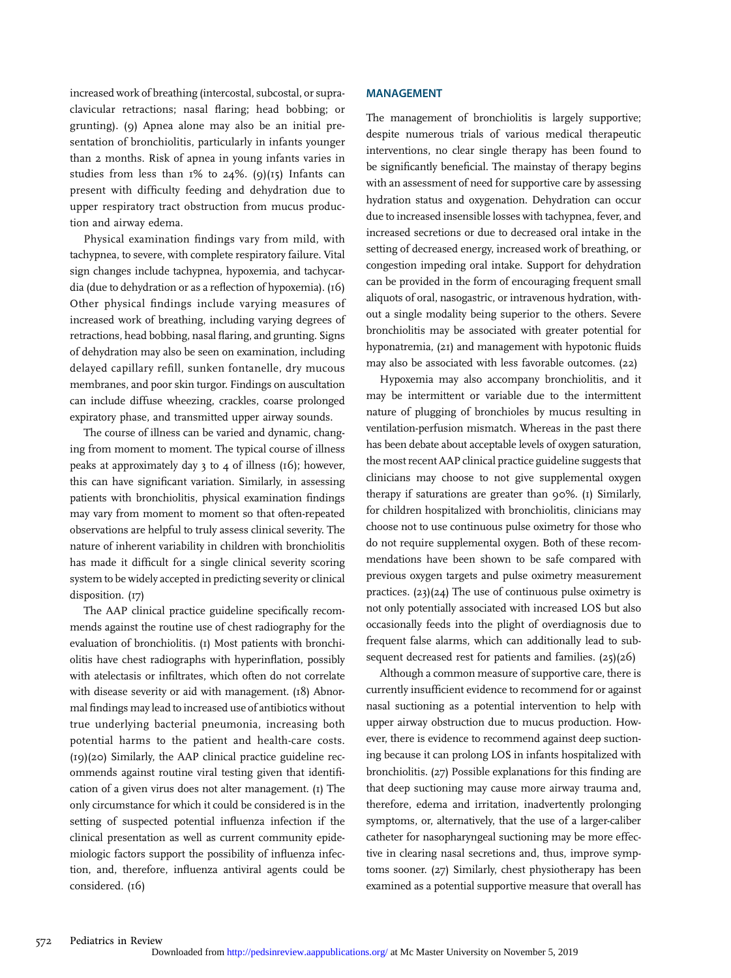increased work of breathing (intercostal, subcostal, or supraclavicular retractions; nasal flaring; head bobbing; or grunting). (9) Apnea alone may also be an initial presentation of bronchiolitis, particularly in infants younger than 2 months. Risk of apnea in young infants varies in studies from less than  $1\%$  to  $24\%$ . (9)( $15$ ) Infants can present with difficulty feeding and dehydration due to upper respiratory tract obstruction from mucus production and airway edema.

Physical examination findings vary from mild, with tachypnea, to severe, with complete respiratory failure. Vital sign changes include tachypnea, hypoxemia, and tachycardia (due to dehydration or as a reflection of hypoxemia). (16) Other physical findings include varying measures of increased work of breathing, including varying degrees of retractions, head bobbing, nasal flaring, and grunting. Signs of dehydration may also be seen on examination, including delayed capillary refill, sunken fontanelle, dry mucous membranes, and poor skin turgor. Findings on auscultation can include diffuse wheezing, crackles, coarse prolonged expiratory phase, and transmitted upper airway sounds.

The course of illness can be varied and dynamic, changing from moment to moment. The typical course of illness peaks at approximately day 3 to 4 of illness (16); however, this can have significant variation. Similarly, in assessing patients with bronchiolitis, physical examination findings may vary from moment to moment so that often-repeated observations are helpful to truly assess clinical severity. The nature of inherent variability in children with bronchiolitis has made it difficult for a single clinical severity scoring system to be widely accepted in predicting severity or clinical disposition. (17)

The AAP clinical practice guideline specifically recommends against the routine use of chest radiography for the evaluation of bronchiolitis. (1) Most patients with bronchiolitis have chest radiographs with hyperinflation, possibly with atelectasis or infiltrates, which often do not correlate with disease severity or aid with management. (18) Abnormal findings may lead to increased use of antibiotics without true underlying bacterial pneumonia, increasing both potential harms to the patient and health-care costs. (19)(20) Similarly, the AAP clinical practice guideline recommends against routine viral testing given that identification of a given virus does not alter management. (1) The only circumstance for which it could be considered is in the setting of suspected potential influenza infection if the clinical presentation as well as current community epidemiologic factors support the possibility of influenza infection, and, therefore, influenza antiviral agents could be considered. (16)

#### MANAGEMENT

The management of bronchiolitis is largely supportive; despite numerous trials of various medical therapeutic interventions, no clear single therapy has been found to be significantly beneficial. The mainstay of therapy begins with an assessment of need for supportive care by assessing hydration status and oxygenation. Dehydration can occur due to increased insensible losses with tachypnea, fever, and increased secretions or due to decreased oral intake in the setting of decreased energy, increased work of breathing, or congestion impeding oral intake. Support for dehydration can be provided in the form of encouraging frequent small aliquots of oral, nasogastric, or intravenous hydration, without a single modality being superior to the others. Severe bronchiolitis may be associated with greater potential for hyponatremia, (21) and management with hypotonic fluids may also be associated with less favorable outcomes. (22)

Hypoxemia may also accompany bronchiolitis, and it may be intermittent or variable due to the intermittent nature of plugging of bronchioles by mucus resulting in ventilation-perfusion mismatch. Whereas in the past there has been debate about acceptable levels of oxygen saturation, the most recent AAP clinical practice guideline suggests that clinicians may choose to not give supplemental oxygen therapy if saturations are greater than 90%. (1) Similarly, for children hospitalized with bronchiolitis, clinicians may choose not to use continuous pulse oximetry for those who do not require supplemental oxygen. Both of these recommendations have been shown to be safe compared with previous oxygen targets and pulse oximetry measurement practices. (23)(24) The use of continuous pulse oximetry is not only potentially associated with increased LOS but also occasionally feeds into the plight of overdiagnosis due to frequent false alarms, which can additionally lead to subsequent decreased rest for patients and families. (25)(26)

Although a common measure of supportive care, there is currently insufficient evidence to recommend for or against nasal suctioning as a potential intervention to help with upper airway obstruction due to mucus production. However, there is evidence to recommend against deep suctioning because it can prolong LOS in infants hospitalized with bronchiolitis. (27) Possible explanations for this finding are that deep suctioning may cause more airway trauma and, therefore, edema and irritation, inadvertently prolonging symptoms, or, alternatively, that the use of a larger-caliber catheter for nasopharyngeal suctioning may be more effective in clearing nasal secretions and, thus, improve symptoms sooner. (27) Similarly, chest physiotherapy has been examined as a potential supportive measure that overall has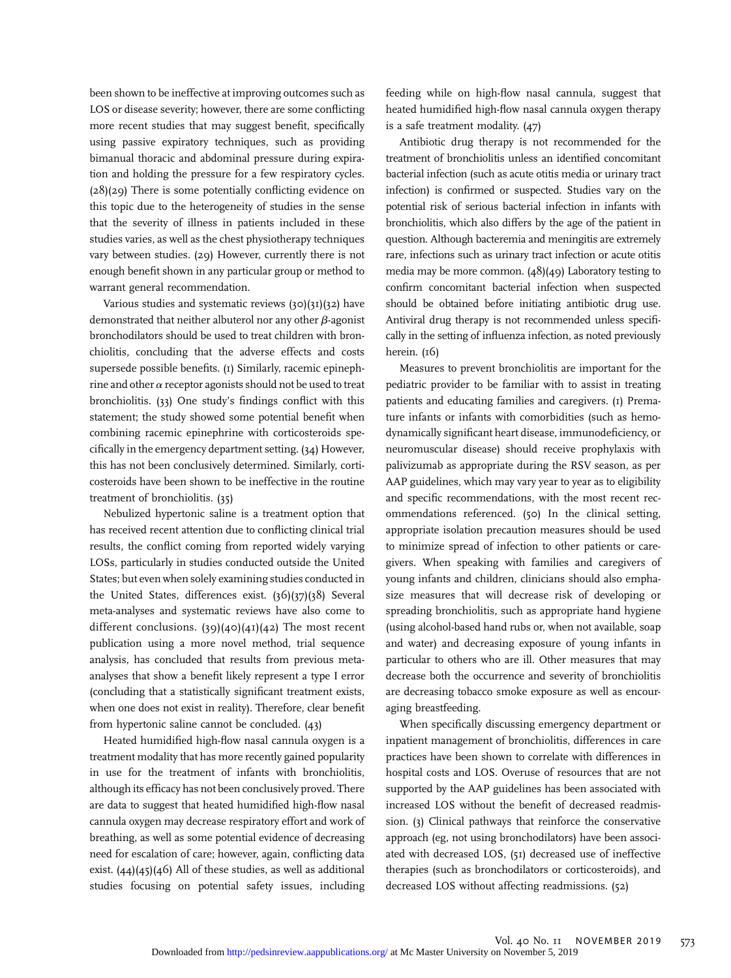been shown to be ineffective at improving outcomes such as LOS or disease severity; however, there are some conflicting more recent studies that may suggest benefit, specifically using passive expiratory techniques, such as providing bimanual thoracic and abdominal pressure during expiration and holding the pressure for a few respiratory cycles. (28)(29) There is some potentially conflicting evidence on this topic due to the heterogeneity of studies in the sense that the severity of illness in patients included in these studies varies, as well as the chest physiotherapy techniques vary between studies. (29) However, currently there is not enough benefit shown in any particular group or method to warrant general recommendation.

Various studies and systematic reviews (30)(31)(32) have demonstrated that neither albuterol nor any other  $\beta$ -agonist bronchodilators should be used to treat children with bronchiolitis, concluding that the adverse effects and costs supersede possible benefits. (1) Similarly, racemic epinephrine and other  $\alpha$  receptor agonists should not be used to treat bronchiolitis. (33) One study's findings conflict with this statement; the study showed some potential benefit when combining racemic epinephrine with corticosteroids specifically in the emergency department setting. (34) However, this has not been conclusively determined. Similarly, corticosteroids have been shown to be ineffective in the routine treatment of bronchiolitis. (35)

Nebulized hypertonic saline is a treatment option that has received recent attention due to conflicting clinical trial results, the conflict coming from reported widely varying LOSs, particularly in studies conducted outside the United States; but even when solely examining studies conducted in the United States, differences exist. (36)(37)(38) Several meta-analyses and systematic reviews have also come to different conclusions.  $(39)(40)(41)(42)$  The most recent publication using a more novel method, trial sequence analysis, has concluded that results from previous metaanalyses that show a benefit likely represent a type I error (concluding that a statistically significant treatment exists, when one does not exist in reality). Therefore, clear benefit from hypertonic saline cannot be concluded. (43)

Heated humidified high-flow nasal cannula oxygen is a treatment modality that has more recently gained popularity in use for the treatment of infants with bronchiolitis, although its efficacy has not been conclusively proved. There are data to suggest that heated humidified high-flow nasal cannula oxygen may decrease respiratory effort and work of breathing, as well as some potential evidence of decreasing need for escalation of care; however, again, conflicting data exist.  $(44)(45)(46)$  All of these studies, as well as additional studies focusing on potential safety issues, including

feeding while on high-flow nasal cannula, suggest that heated humidified high-flow nasal cannula oxygen therapy is a safe treatment modality. (47)

Antibiotic drug therapy is not recommended for the treatment of bronchiolitis unless an identified concomitant bacterial infection (such as acute otitis media or urinary tract infection) is confirmed or suspected. Studies vary on the potential risk of serious bacterial infection in infants with bronchiolitis, which also differs by the age of the patient in question. Although bacteremia and meningitis are extremely rare, infections such as urinary tract infection or acute otitis media may be more common. (48)(49) Laboratory testing to confirm concomitant bacterial infection when suspected should be obtained before initiating antibiotic drug use. Antiviral drug therapy is not recommended unless specifically in the setting of influenza infection, as noted previously herein. (16)

Measures to prevent bronchiolitis are important for the pediatric provider to be familiar with to assist in treating patients and educating families and caregivers. (1) Premature infants or infants with comorbidities (such as hemodynamically significant heart disease, immunodeficiency, or neuromuscular disease) should receive prophylaxis with palivizumab as appropriate during the RSV season, as per AAP guidelines, which may vary year to year as to eligibility and specific recommendations, with the most recent recommendations referenced. (50) In the clinical setting, appropriate isolation precaution measures should be used to minimize spread of infection to other patients or caregivers. When speaking with families and caregivers of young infants and children, clinicians should also emphasize measures that will decrease risk of developing or spreading bronchiolitis, such as appropriate hand hygiene (using alcohol-based hand rubs or, when not available, soap and water) and decreasing exposure of young infants in particular to others who are ill. Other measures that may decrease both the occurrence and severity of bronchiolitis are decreasing tobacco smoke exposure as well as encouraging breastfeeding.

When specifically discussing emergency department or inpatient management of bronchiolitis, differences in care practices have been shown to correlate with differences in hospital costs and LOS. Overuse of resources that are not supported by the AAP guidelines has been associated with increased LOS without the benefit of decreased readmission. (3) Clinical pathways that reinforce the conservative approach (eg, not using bronchodilators) have been associated with decreased LOS, (51) decreased use of ineffective therapies (such as bronchodilators or corticosteroids), and decreased LOS without affecting readmissions. (52)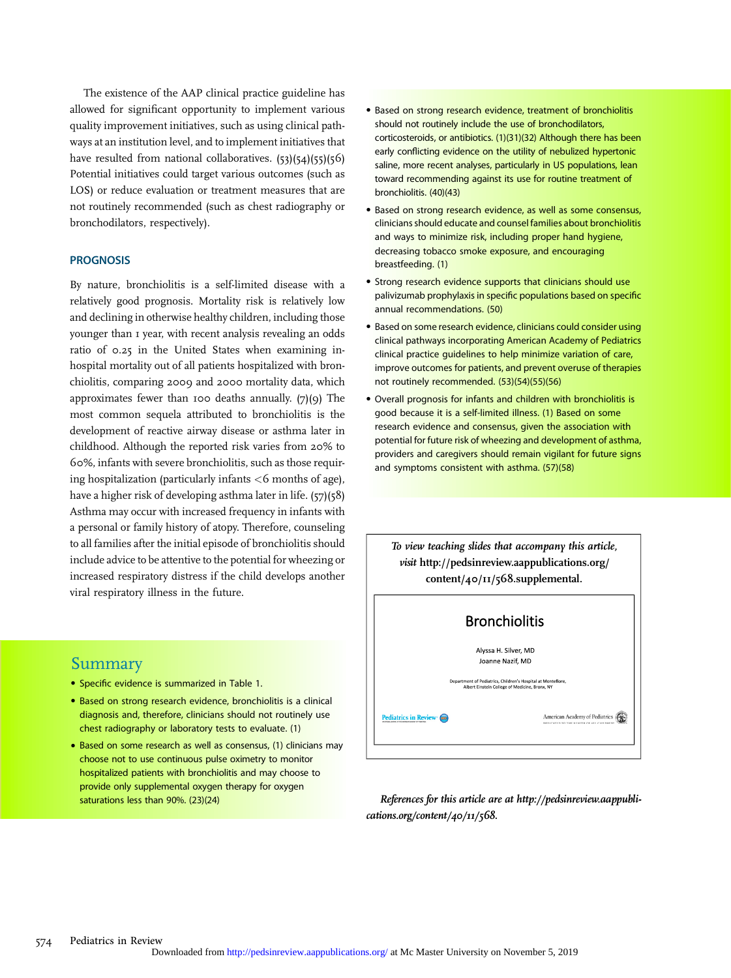The existence of the AAP clinical practice guideline has allowed for significant opportunity to implement various quality improvement initiatives, such as using clinical pathways at an institution level, and to implement initiatives that have resulted from national collaboratives. (53)(54)(55)(56) Potential initiatives could target various outcomes (such as LOS) or reduce evaluation or treatment measures that are not routinely recommended (such as chest radiography or bronchodilators, respectively).

#### **PROGNOSIS**

By nature, bronchiolitis is a self-limited disease with a relatively good prognosis. Mortality risk is relatively low and declining in otherwise healthy children, including those younger than 1 year, with recent analysis revealing an odds ratio of 0.25 in the United States when examining inhospital mortality out of all patients hospitalized with bronchiolitis, comparing 2009 and 2000 mortality data, which approximates fewer than 100 deaths annually.  $(7)(9)$  The most common sequela attributed to bronchiolitis is the development of reactive airway disease or asthma later in childhood. Although the reported risk varies from 20% to 60%, infants with severe bronchiolitis, such as those requiring hospitalization (particularly infants  $\lt 6$  months of age), have a higher risk of developing asthma later in life. (57)(58) Asthma may occur with increased frequency in infants with a personal or family history of atopy. Therefore, counseling to all families after the initial episode of bronchiolitis should include advice to be attentive to the potential for wheezing or increased respiratory distress if the child develops another viral respiratory illness in the future.

## Summary

- Specific evidence is summarized in Table 1.
- Based on strong research evidence, bronchiolitis is a clinical diagnosis and, therefore, clinicians should not routinely use chest radiography or laboratory tests to evaluate. (1)
- Based on some research as well as consensus, (1) clinicians may choose not to use continuous pulse oximetry to monitor hospitalized patients with bronchiolitis and may choose to provide only supplemental oxygen therapy for oxygen saturations less than 90%. (23)(24)
- Based on strong research evidence, treatment of bronchiolitis should not routinely include the use of bronchodilators, corticosteroids, or antibiotics. (1)(31)(32) Although there has been early conflicting evidence on the utility of nebulized hypertonic saline, more recent analyses, particularly in US populations, lean toward recommending against its use for routine treatment of bronchiolitis. (40)(43)
- Based on strong research evidence, as well as some consensus, clinicians should educate and counsel families about bronchiolitis and ways to minimize risk, including proper hand hygiene, decreasing tobacco smoke exposure, and encouraging breastfeeding. (1)
- Strong research evidence supports that clinicians should use palivizumab prophylaxis in specific populations based on specific annual recommendations. (50)
- Based on some research evidence, clinicians could consider using clinical pathways incorporating American Academy of Pediatrics clinical practice guidelines to help minimize variation of care, improve outcomes for patients, and prevent overuse of therapies not routinely recommended. (53)(54)(55)(56)
- Overall prognosis for infants and children with bronchiolitis is good because it is a self-limited illness. (1) Based on some research evidence and consensus, given the association with potential for future risk of wheezing and development of asthma, providers and caregivers should remain vigilant for future signs and symptoms consistent with asthma. (57)(58)



References for this article are at [http://pedsinreview.aappubli](http://pedsinreview.aappublications.org/content/40/11/568)[cations.org/content/40/11/568](http://pedsinreview.aappublications.org/content/40/11/568).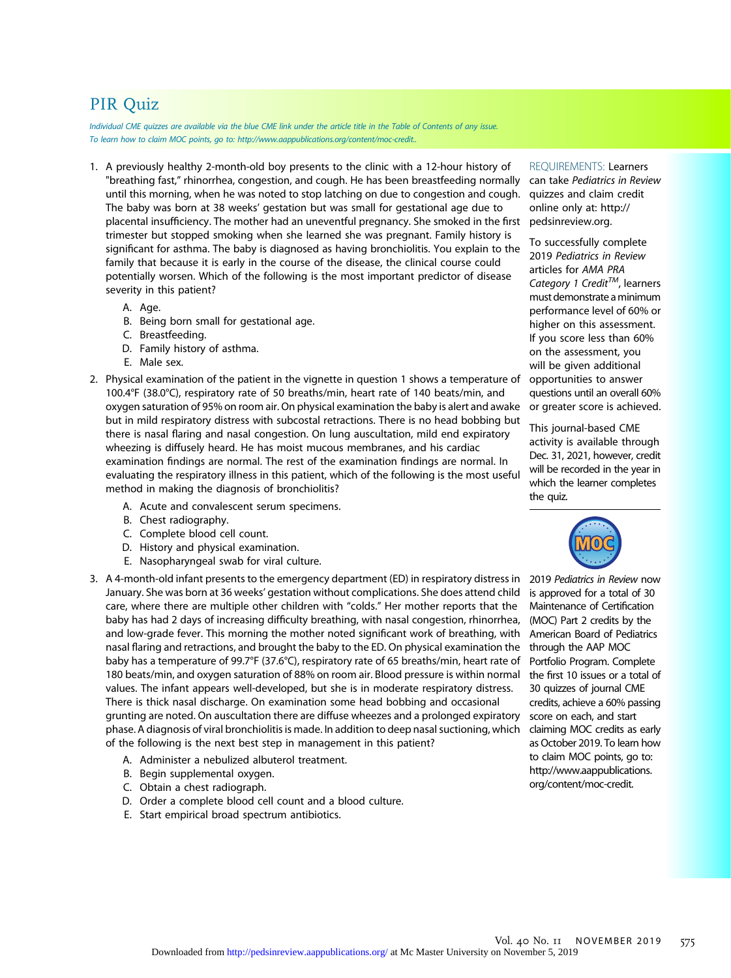# PIR Quiz

Individual CME quizzes are available via the blue CME link under the article title in the Table of Contents of any issue. To learn how to claim MOC points, go to:<http://www.aappublications.org/content/moc-credit.>.

- 1. A previously healthy 2-month-old boy presents to the clinic with a 12-hour history of "breathing fast," rhinorrhea, congestion, and cough. He has been breastfeeding normally until this morning, when he was noted to stop latching on due to congestion and cough. The baby was born at 38 weeks' gestation but was small for gestational age due to placental insufficiency. The mother had an uneventful pregnancy. She smoked in the first trimester but stopped smoking when she learned she was pregnant. Family history is significant for asthma. The baby is diagnosed as having bronchiolitis. You explain to the family that because it is early in the course of the disease, the clinical course could potentially worsen. Which of the following is the most important predictor of disease severity in this patient?
	- A. Age.
	- B. Being born small for gestational age.
	- C. Breastfeeding.
	- D. Family history of asthma.
	- E. Male sex.
- 2. Physical examination of the patient in the vignette in question 1 shows a temperature of 100.4°F (38.0°C), respiratory rate of 50 breaths/min, heart rate of 140 beats/min, and oxygen saturation of 95% on room air. On physical examination the baby is alert and awake but in mild respiratory distress with subcostal retractions. There is no head bobbing but there is nasal flaring and nasal congestion. On lung auscultation, mild end expiratory wheezing is diffusely heard. He has moist mucous membranes, and his cardiac examination findings are normal. The rest of the examination findings are normal. In evaluating the respiratory illness in this patient, which of the following is the most useful method in making the diagnosis of bronchiolitis?
	- A. Acute and convalescent serum specimens.
	- B. Chest radiography.
	- C. Complete blood cell count.
	- D. History and physical examination.
	- E. Nasopharyngeal swab for viral culture.
- 3. A 4-month-old infant presents to the emergency department (ED) in respiratory distress in January. She was born at 36 weeks' gestation without complications. She does attend child care, where there are multiple other children with "colds." Her mother reports that the baby has had 2 days of increasing difficulty breathing, with nasal congestion, rhinorrhea, and low-grade fever. This morning the mother noted significant work of breathing, with nasal flaring and retractions, and brought the baby to the ED. On physical examination the baby has a temperature of 99.7°F (37.6°C), respiratory rate of 65 breaths/min, heart rate of 180 beats/min, and oxygen saturation of 88% on room air. Blood pressure is within normal values. The infant appears well-developed, but she is in moderate respiratory distress. There is thick nasal discharge. On examination some head bobbing and occasional grunting are noted. On auscultation there are diffuse wheezes and a prolonged expiratory phase. A diagnosis of viral bronchiolitis is made. In addition to deep nasal suctioning, which of the following is the next best step in management in this patient?
	- A. Administer a nebulized albuterol treatment.
	- B. Begin supplemental oxygen.
	- C. Obtain a chest radiograph.
	- D. Order a complete blood cell count and a blood culture.
	- E. Start empirical broad spectrum antibiotics.

REQUIREMENTS: Learners

can take Pediatrics in Review quizzes and claim credit online only at: [http://](http://pedsinreview.org) [pedsinreview.org](http://pedsinreview.org).

To successfully complete 2019 Pediatrics in Review articles for AMA PRA Category 1 Credit<sup>TM</sup>, learners must demonstrate aminimum performance level of 60% or higher on this assessment. If you score less than 60% on the assessment, you will be given additional opportunities to answer questions until an overall 60% or greater score is achieved.

This journal-based CME activity is available through Dec. 31, 2021, however, credit will be recorded in the year in which the learner completes the quiz.



2019 Pediatrics in Review now is approved for a total of 30 Maintenance of Certification (MOC) Part 2 credits by the American Board of Pediatrics through the AAP MOC Portfolio Program. Complete the first 10 issues or a total of 30 quizzes of journal CME credits, achieve a 60% passing score on each, and start claiming MOC credits as early as October 2019. To learn how to claim MOC points, go to: [http://www.aappublications.](http://www.aappublications.org/content/moc-credit) [org/content/moc-credit](http://www.aappublications.org/content/moc-credit).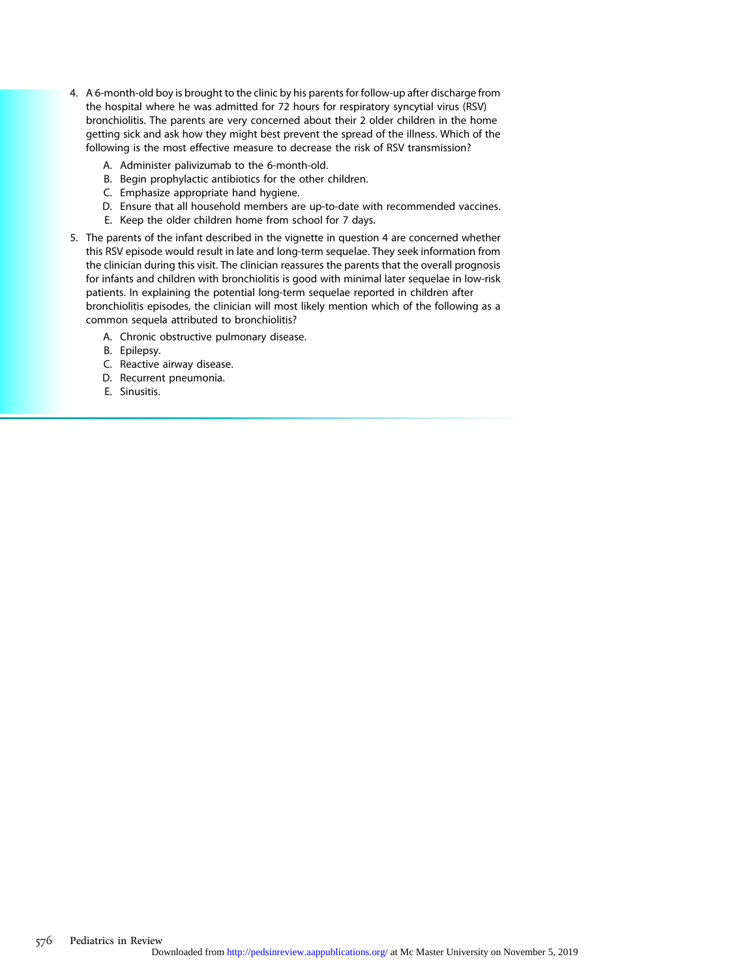- 4. A 6-month-old boy is brought to the clinic by his parents for follow-up after discharge from the hospital where he was admitted for 72 hours for respiratory syncytial virus (RSV) bronchiolitis. The parents are very concerned about their 2 older children in the home getting sick and ask how they might best prevent the spread of the illness. Which of the following is the most effective measure to decrease the risk of RSV transmission?
	- A. Administer palivizumab to the 6-month-old.
	- B. Begin prophylactic antibiotics for the other children.
	- C. Emphasize appropriate hand hygiene.
	- D. Ensure that all household members are up-to-date with recommended vaccines.
	- E. Keep the older children home from school for 7 days.
- 5. The parents of the infant described in the vignette in question 4 are concerned whether this RSV episode would result in late and long-term sequelae. They seek information from the clinician during this visit. The clinician reassures the parents that the overall prognosis for infants and children with bronchiolitis is good with minimal later sequelae in low-risk patients. In explaining the potential long-term sequelae reported in children after bronchiolitis episodes, the clinician will most likely mention which of the following as a common sequela attributed to bronchiolitis?
	- A. Chronic obstructive pulmonary disease.
	- B. Epilepsy.
	- C. Reactive airway disease.
	- D. Recurrent pneumonia.
	- E. Sinusitis.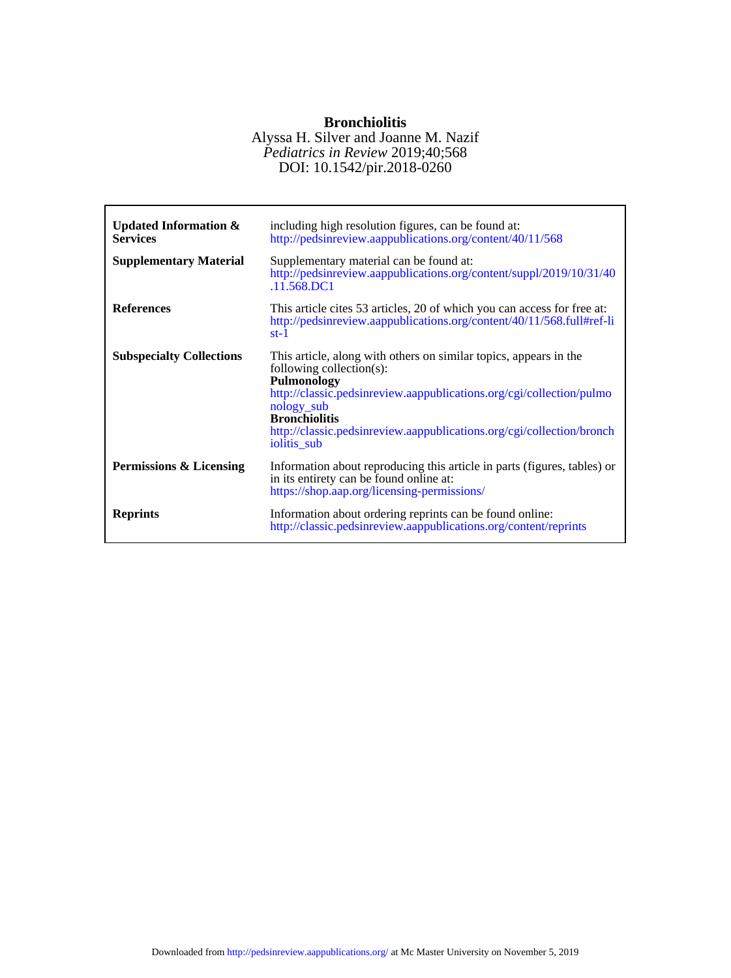# **Bronchiolitis**

### DOI: 10.1542/pir.2018-0260 *Pediatrics in Review* 2019;40;568 Alyssa H. Silver and Joanne M. Nazif

| <b>Updated Information &amp;</b><br><b>Services</b><br><b>Supplementary Material</b> | including high resolution figures, can be found at:<br>http://pedsinreview.aappublications.org/content/40/11/568<br>Supplementary material can be found at:<br>http://pedsinreview.aappublications.org/content/suppl/2019/10/31/40<br>.11.568.DC1                                                                  |
|--------------------------------------------------------------------------------------|--------------------------------------------------------------------------------------------------------------------------------------------------------------------------------------------------------------------------------------------------------------------------------------------------------------------|
| <b>References</b>                                                                    | This article cites 53 articles, 20 of which you can access for free at:<br>http://pedsinreview.aappublications.org/content/40/11/568.full#ref-li<br>$st-1$                                                                                                                                                         |
| <b>Subspecialty Collections</b>                                                      | This article, along with others on similar topics, appears in the<br>following collection(s):<br>Pulmonology<br>http://classic.pedsinreview.aappublications.org/cgi/collection/pulmo<br>nology_sub<br><b>Bronchiolitis</b><br>http://classic.pedsinreview.aappublications.org/cgi/collection/bronch<br>iolitis_sub |
| Permissions & Licensing                                                              | Information about reproducing this article in parts (figures, tables) or<br>in its entirety can be found online at:<br>https://shop.aap.org/licensing-permissions/                                                                                                                                                 |
| <b>Reprints</b>                                                                      | Information about ordering reprints can be found online:<br>http://classic.pedsinreview.aappublications.org/content/reprints                                                                                                                                                                                       |